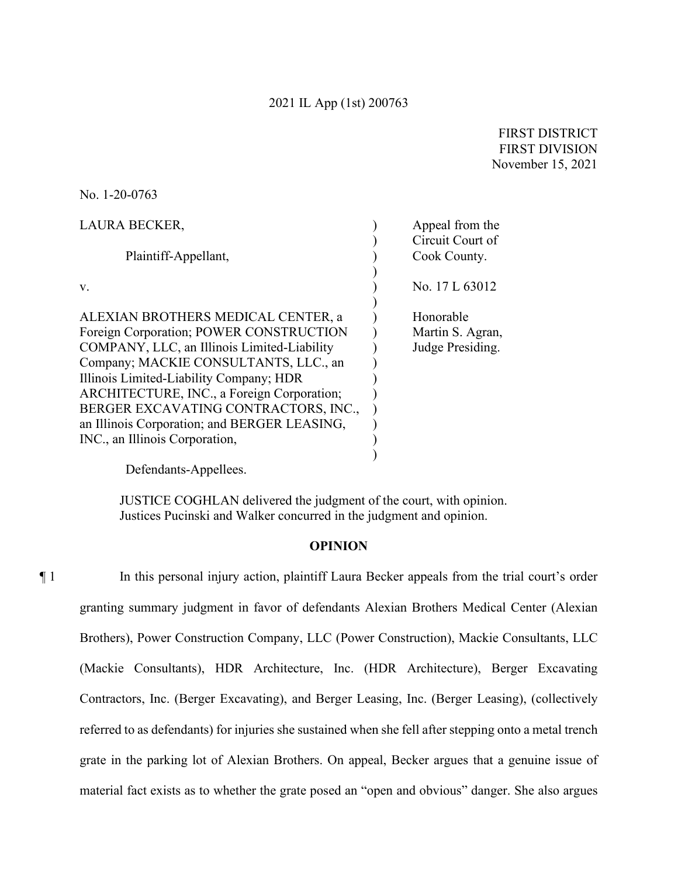FIRST DISTRICT FIRST DIVISION November 15, 2021

No. 1-20-0763

| <b>LAURA BECKER,</b>                         | Appeal from the  |
|----------------------------------------------|------------------|
|                                              | Circuit Court of |
| Plaintiff-Appellant,                         | Cook County.     |
|                                              |                  |
| V.                                           | No. 17 L 63012   |
|                                              |                  |
| ALEXIAN BROTHERS MEDICAL CENTER, a           | Honorable        |
| Foreign Corporation; POWER CONSTRUCTION      | Martin S. Agran, |
| COMPANY, LLC, an Illinois Limited-Liability  | Judge Presiding. |
| Company; MACKIE CONSULTANTS, LLC., an        |                  |
| Illinois Limited-Liability Company; HDR      |                  |
| ARCHITECTURE, INC., a Foreign Corporation;   |                  |
| BERGER EXCAVATING CONTRACTORS, INC.,         |                  |
| an Illinois Corporation; and BERGER LEASING, |                  |
| INC., an Illinois Corporation,               |                  |
|                                              |                  |

Defendants-Appellees.

JUSTICE COGHLAN delivered the judgment of the court, with opinion. Justices Pucinski and Walker concurred in the judgment and opinion.

## **OPINION**

¶ 1 In this personal injury action, plaintiff Laura Becker appeals from the trial court's order granting summary judgment in favor of defendants Alexian Brothers Medical Center (Alexian Brothers), Power Construction Company, LLC (Power Construction), Mackie Consultants, LLC (Mackie Consultants), HDR Architecture, Inc. (HDR Architecture), Berger Excavating Contractors, Inc. (Berger Excavating), and Berger Leasing, Inc. (Berger Leasing), (collectively referred to as defendants) for injuries she sustained when she fell after stepping onto a metal trench grate in the parking lot of Alexian Brothers. On appeal, Becker argues that a genuine issue of material fact exists as to whether the grate posed an "open and obvious" danger. She also argues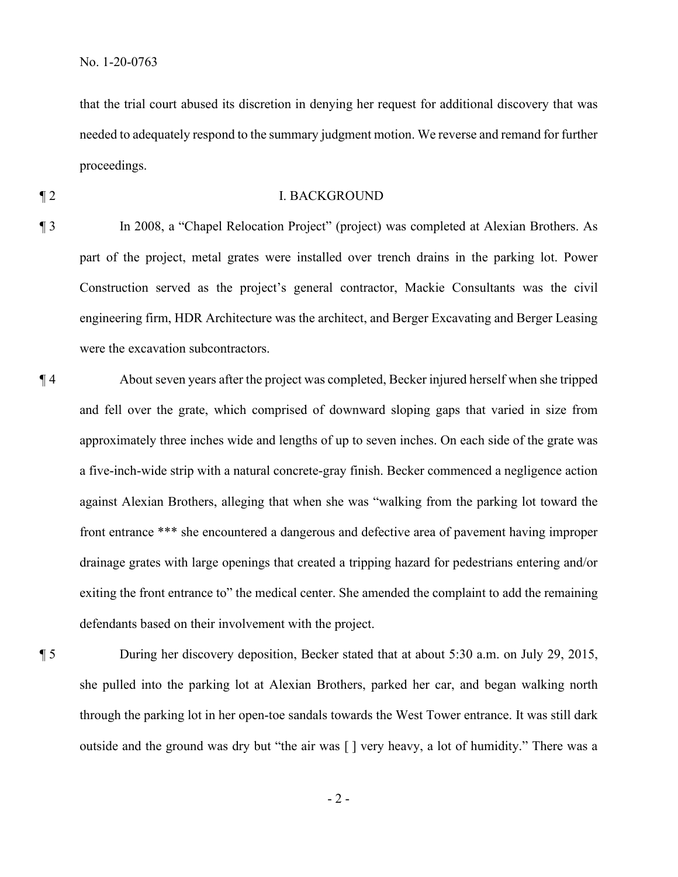that the trial court abused its discretion in denying her request for additional discovery that was needed to adequately respond to the summary judgment motion. We reverse and remand for further proceedings.

## ¶ 2 I. BACKGROUND

¶ 3 In 2008, a "Chapel Relocation Project" (project) was completed at Alexian Brothers. As part of the project, metal grates were installed over trench drains in the parking lot. Power Construction served as the project's general contractor, Mackie Consultants was the civil engineering firm, HDR Architecture was the architect, and Berger Excavating and Berger Leasing were the excavation subcontractors.

¶ 4 About seven years after the project was completed, Becker injured herself when she tripped and fell over the grate, which comprised of downward sloping gaps that varied in size from approximately three inches wide and lengths of up to seven inches. On each side of the grate was a five-inch-wide strip with a natural concrete-gray finish. Becker commenced a negligence action against Alexian Brothers, alleging that when she was "walking from the parking lot toward the front entrance \*\*\* she encountered a dangerous and defective area of pavement having improper drainage grates with large openings that created a tripping hazard for pedestrians entering and/or exiting the front entrance to" the medical center. She amended the complaint to add the remaining defendants based on their involvement with the project.

¶ 5 During her discovery deposition, Becker stated that at about 5:30 a.m. on July 29, 2015, she pulled into the parking lot at Alexian Brothers, parked her car, and began walking north through the parking lot in her open-toe sandals towards the West Tower entrance. It was still dark outside and the ground was dry but "the air was [ ] very heavy, a lot of humidity." There was a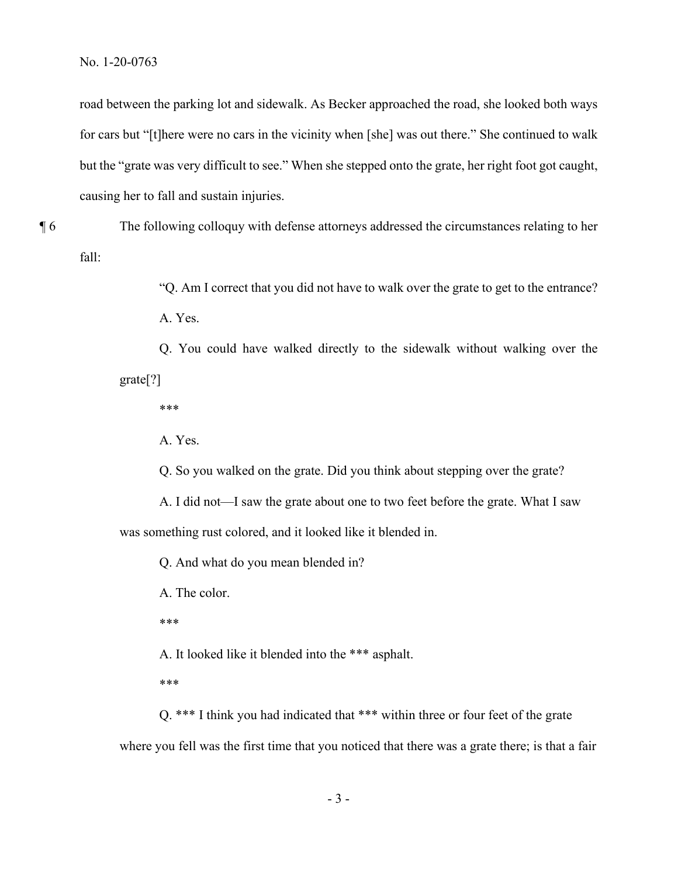No. 1-20-0763

road between the parking lot and sidewalk. As Becker approached the road, she looked both ways for cars but "[t]here were no cars in the vicinity when [she] was out there." She continued to walk but the "grate was very difficult to see." When she stepped onto the grate, her right foot got caught, causing her to fall and sustain injuries.

¶ 6 The following colloquy with defense attorneys addressed the circumstances relating to her fall:

> "Q. Am I correct that you did not have to walk over the grate to get to the entrance? A. Yes.

Q. You could have walked directly to the sidewalk without walking over the grate[?]

\*\*\*

A. Yes.

Q. So you walked on the grate. Did you think about stepping over the grate?

A. I did not—I saw the grate about one to two feet before the grate. What I saw was something rust colored, and it looked like it blended in.

Q. And what do you mean blended in?

A. The color.

\*\*\*

A. It looked like it blended into the \*\*\* asphalt.

\*\*\*

Q. \*\*\* I think you had indicated that \*\*\* within three or four feet of the grate where you fell was the first time that you noticed that there was a grate there; is that a fair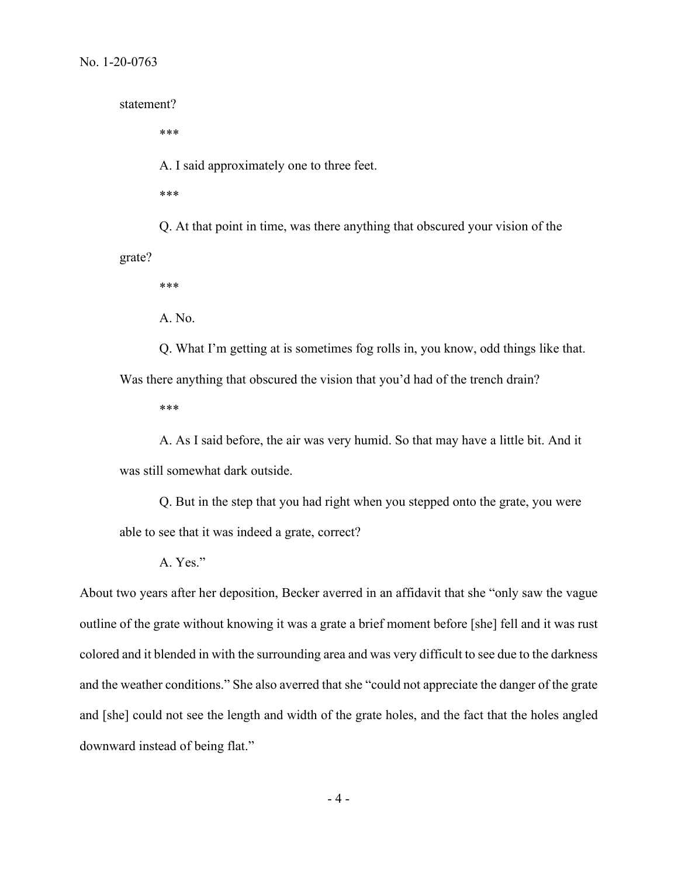statement?

\*\*\*

A. I said approximately one to three feet.

\*\*\*

Q. At that point in time, was there anything that obscured your vision of the grate?

\*\*\*

A. No.

Q. What I'm getting at is sometimes fog rolls in, you know, odd things like that. Was there anything that obscured the vision that you'd had of the trench drain?

\*\*\*

A. As I said before, the air was very humid. So that may have a little bit. And it was still somewhat dark outside.

Q. But in the step that you had right when you stepped onto the grate, you were able to see that it was indeed a grate, correct?

A. Yes."

About two years after her deposition, Becker averred in an affidavit that she "only saw the vague outline of the grate without knowing it was a grate a brief moment before [she] fell and it was rust colored and it blended in with the surrounding area and was very difficult to see due to the darkness and the weather conditions." She also averred that she "could not appreciate the danger of the grate and [she] could not see the length and width of the grate holes, and the fact that the holes angled downward instead of being flat."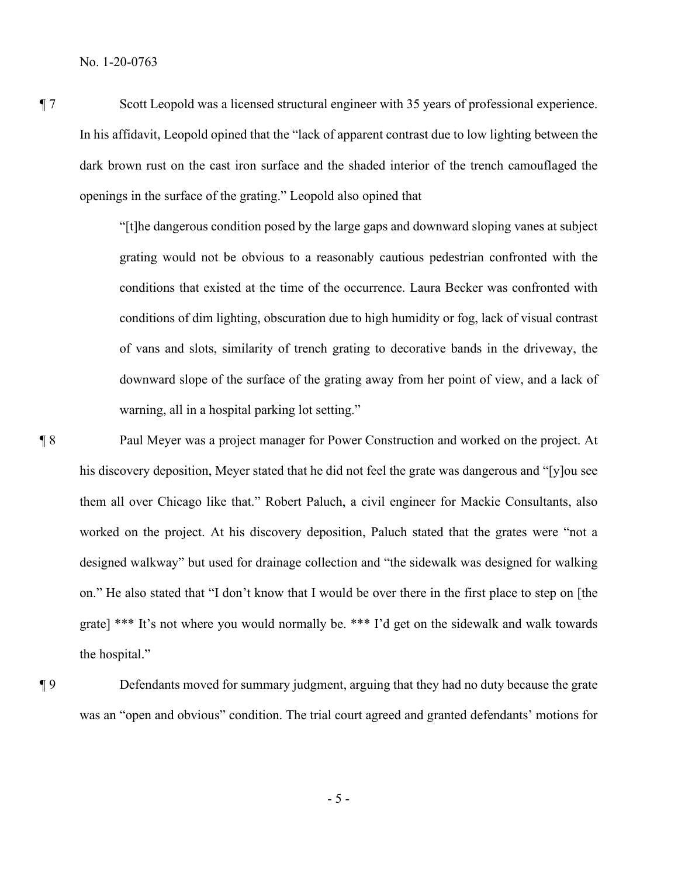¶ 7 Scott Leopold was a licensed structural engineer with 35 years of professional experience. In his affidavit, Leopold opined that the "lack of apparent contrast due to low lighting between the dark brown rust on the cast iron surface and the shaded interior of the trench camouflaged the openings in the surface of the grating." Leopold also opined that

> "[t]he dangerous condition posed by the large gaps and downward sloping vanes at subject grating would not be obvious to a reasonably cautious pedestrian confronted with the conditions that existed at the time of the occurrence. Laura Becker was confronted with conditions of dim lighting, obscuration due to high humidity or fog, lack of visual contrast of vans and slots, similarity of trench grating to decorative bands in the driveway, the downward slope of the surface of the grating away from her point of view, and a lack of warning, all in a hospital parking lot setting."

¶ 8 Paul Meyer was a project manager for Power Construction and worked on the project. At his discovery deposition, Meyer stated that he did not feel the grate was dangerous and "[y]ou see them all over Chicago like that." Robert Paluch, a civil engineer for Mackie Consultants, also worked on the project. At his discovery deposition, Paluch stated that the grates were "not a designed walkway" but used for drainage collection and "the sidewalk was designed for walking on." He also stated that "I don't know that I would be over there in the first place to step on [the grate] \*\*\* It's not where you would normally be. \*\*\* I'd get on the sidewalk and walk towards the hospital."

¶ 9 Defendants moved for summary judgment, arguing that they had no duty because the grate was an "open and obvious" condition. The trial court agreed and granted defendants' motions for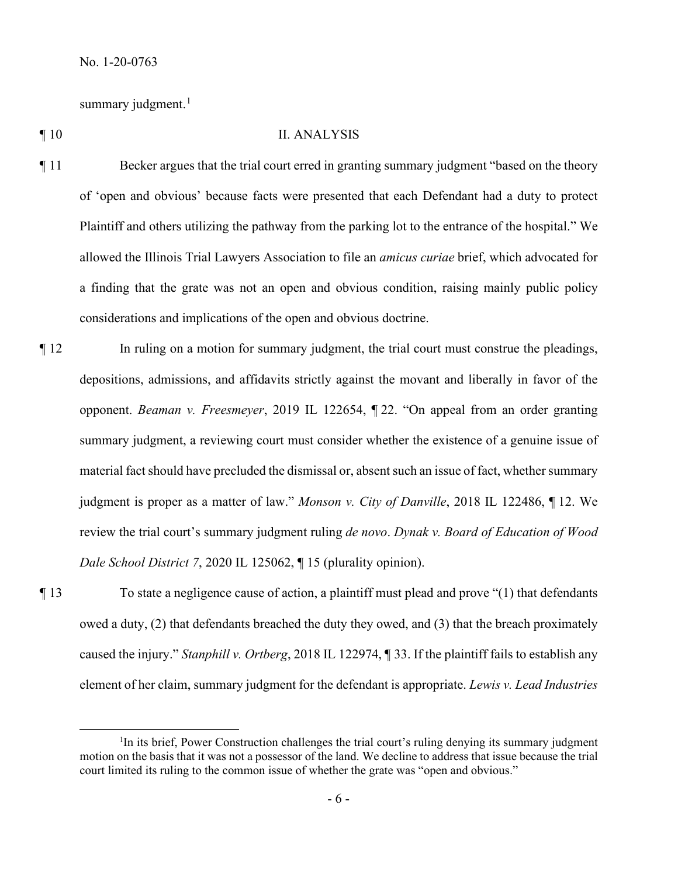summary judgment.<sup>[1](#page-5-0)</sup>

## ¶ 10 II. ANALYSIS

- ¶ 11 Becker argues that the trial court erred in granting summary judgment "based on the theory of 'open and obvious' because facts were presented that each Defendant had a duty to protect Plaintiff and others utilizing the pathway from the parking lot to the entrance of the hospital." We allowed the Illinois Trial Lawyers Association to file an *amicus curiae* brief, which advocated for a finding that the grate was not an open and obvious condition, raising mainly public policy considerations and implications of the open and obvious doctrine.
- ¶ 12 In ruling on a motion for summary judgment, the trial court must construe the pleadings, depositions, admissions, and affidavits strictly against the movant and liberally in favor of the opponent. *Beaman v. Freesmeyer*, 2019 IL 122654, ¶ 22. "On appeal from an order granting summary judgment, a reviewing court must consider whether the existence of a genuine issue of material fact should have precluded the dismissal or, absent such an issue of fact, whether summary judgment is proper as a matter of law." *Monson v. City of Danville*, 2018 IL 122486, ¶ 12. We review the trial court's summary judgment ruling *de novo*. *Dynak v. Board of Education of Wood Dale School District 7*, 2020 IL 125062, ¶ 15 (plurality opinion).
- 

¶ 13 To state a negligence cause of action, a plaintiff must plead and prove "(1) that defendants owed a duty, (2) that defendants breached the duty they owed, and (3) that the breach proximately caused the injury." *Stanphill v. Ortberg*, 2018 IL 122974, ¶ 33. If the plaintiff fails to establish any element of her claim, summary judgment for the defendant is appropriate. *Lewis v. Lead Industries* 

<span id="page-5-0"></span><sup>&</sup>lt;sup>1</sup>In its brief, Power Construction challenges the trial court's ruling denying its summary judgment motion on the basis that it was not a possessor of the land. We decline to address that issue because the trial court limited its ruling to the common issue of whether the grate was "open and obvious."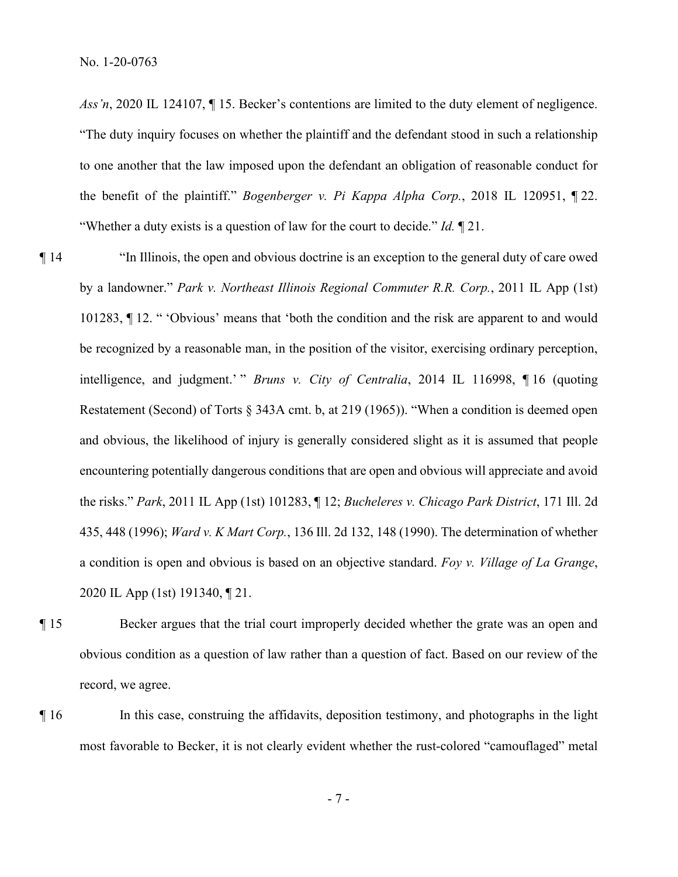No. 1-20-0763

*Ass'n*, 2020 IL 124107, ¶ 15. Becker's contentions are limited to the duty element of negligence. "The duty inquiry focuses on whether the plaintiff and the defendant stood in such a relationship to one another that the law imposed upon the defendant an obligation of reasonable conduct for the benefit of the plaintiff." *Bogenberger v. Pi Kappa Alpha Corp.*, 2018 IL 120951, ¶ 22. "Whether a duty exists is a question of law for the court to decide." *Id.* ¶ 21.

¶ 14 "In Illinois, the open and obvious doctrine is an exception to the general duty of care owed by a landowner." *Park v. Northeast Illinois Regional Commuter R.R. Corp.*, 2011 IL App (1st) 101283, ¶ 12. " 'Obvious' means that 'both the condition and the risk are apparent to and would be recognized by a reasonable man, in the position of the visitor, exercising ordinary perception, intelligence, and judgment.' " *Bruns v. City of Centralia*, 2014 IL 116998, ¶ 16 (quoting Restatement (Second) of Torts § 343A cmt. b, at 219 (1965)). "When a condition is deemed open and obvious, the likelihood of injury is generally considered slight as it is assumed that people encountering potentially dangerous conditions that are open and obvious will appreciate and avoid the risks." *Park*, 2011 IL App (1st) 101283, ¶ 12; *Bucheleres v. Chicago Park District*, 171 Ill. 2d 435, 448 (1996); *Ward v. K Mart Corp.*, 136 Ill. 2d 132, 148 (1990). The determination of whether a condition is open and obvious is based on an objective standard. *Foy v. Village of La Grange*, 2020 IL App (1st) 191340, ¶ 21.

- ¶ 15 Becker argues that the trial court improperly decided whether the grate was an open and obvious condition as a question of law rather than a question of fact. Based on our review of the record, we agree.
- ¶ 16 In this case, construing the affidavits, deposition testimony, and photographs in the light most favorable to Becker, it is not clearly evident whether the rust-colored "camouflaged" metal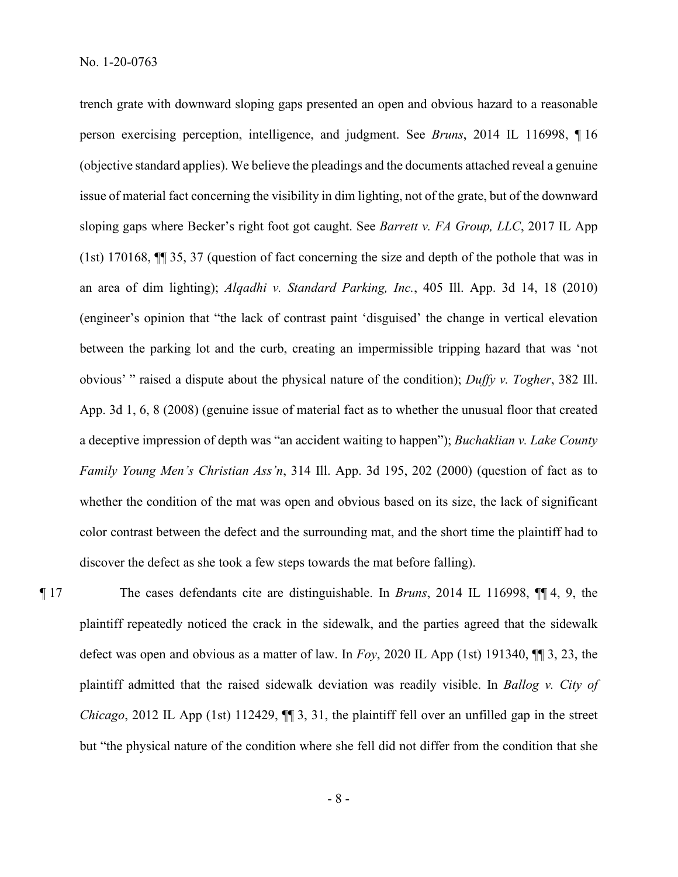trench grate with downward sloping gaps presented an open and obvious hazard to a reasonable person exercising perception, intelligence, and judgment. See *Bruns*, 2014 IL 116998, ¶ 16 (objective standard applies). We believe the pleadings and the documents attached reveal a genuine issue of material fact concerning the visibility in dim lighting, not of the grate, but of the downward sloping gaps where Becker's right foot got caught. See *Barrett v. FA Group, LLC*, 2017 IL App (1st) 170168, ¶¶ 35, 37 (question of fact concerning the size and depth of the pothole that was in an area of dim lighting); *Alqadhi v. Standard Parking, Inc.*, 405 Ill. App. 3d 14, 18 (2010) (engineer's opinion that "the lack of contrast paint 'disguised' the change in vertical elevation between the parking lot and the curb, creating an impermissible tripping hazard that was 'not obvious' " raised a dispute about the physical nature of the condition); *Duffy v. Togher*, 382 Ill. App. 3d 1, 6, 8 (2008) (genuine issue of material fact as to whether the unusual floor that created a deceptive impression of depth was "an accident waiting to happen"); *Buchaklian v. Lake County Family Young Men's Christian Ass'n*, 314 Ill. App. 3d 195, 202 (2000) (question of fact as to whether the condition of the mat was open and obvious based on its size, the lack of significant color contrast between the defect and the surrounding mat, and the short time the plaintiff had to discover the defect as she took a few steps towards the mat before falling).

¶ 17 The cases defendants cite are distinguishable. In *Bruns*, 2014 IL 116998, ¶¶ 4, 9, the plaintiff repeatedly noticed the crack in the sidewalk, and the parties agreed that the sidewalk defect was open and obvious as a matter of law. In *Foy*, 2020 IL App (1st) 191340, ¶¶ 3, 23, the plaintiff admitted that the raised sidewalk deviation was readily visible. In *Ballog v. City of Chicago*, 2012 IL App (1st) 112429,  $\P$  3, 31, the plaintiff fell over an unfilled gap in the street but "the physical nature of the condition where she fell did not differ from the condition that she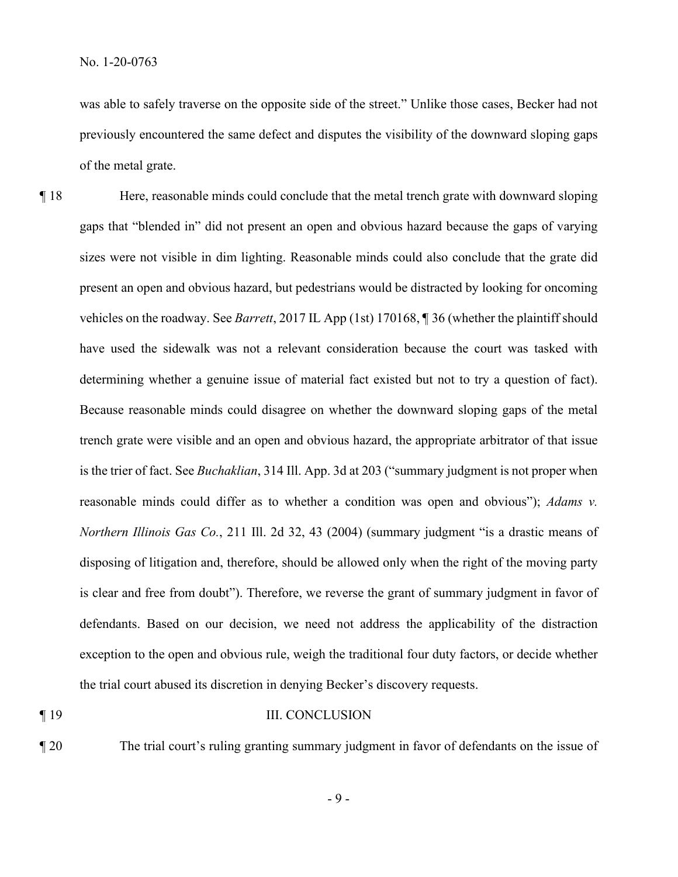was able to safely traverse on the opposite side of the street." Unlike those cases, Becker had not previously encountered the same defect and disputes the visibility of the downward sloping gaps of the metal grate.

¶ 18 Here, reasonable minds could conclude that the metal trench grate with downward sloping gaps that "blended in" did not present an open and obvious hazard because the gaps of varying sizes were not visible in dim lighting. Reasonable minds could also conclude that the grate did present an open and obvious hazard, but pedestrians would be distracted by looking for oncoming vehicles on the roadway. See *Barrett*, 2017 IL App (1st) 170168, ¶ 36 (whether the plaintiff should have used the sidewalk was not a relevant consideration because the court was tasked with determining whether a genuine issue of material fact existed but not to try a question of fact). Because reasonable minds could disagree on whether the downward sloping gaps of the metal trench grate were visible and an open and obvious hazard, the appropriate arbitrator of that issue is the trier of fact. See *Buchaklian*, 314 Ill. App. 3d at 203 ("summary judgment is not proper when reasonable minds could differ as to whether a condition was open and obvious"); *Adams v. Northern Illinois Gas Co.*, 211 Ill. 2d 32, 43 (2004) (summary judgment "is a drastic means of disposing of litigation and, therefore, should be allowed only when the right of the moving party is clear and free from doubt"). Therefore, we reverse the grant of summary judgment in favor of defendants. Based on our decision, we need not address the applicability of the distraction exception to the open and obvious rule, weigh the traditional four duty factors, or decide whether the trial court abused its discretion in denying Becker's discovery requests.

## ¶ 19 III. CONCLUSION

¶ 20 The trial court's ruling granting summary judgment in favor of defendants on the issue of

- 9 -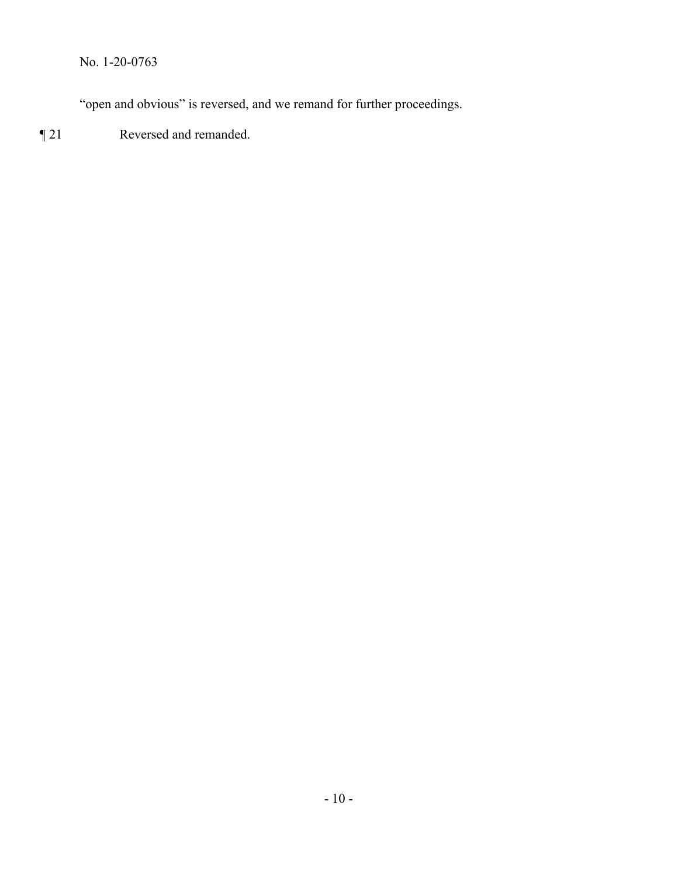No. 1-20-0763

"open and obvious" is reversed, and we remand for further proceedings.

¶ 21 Reversed and remanded.